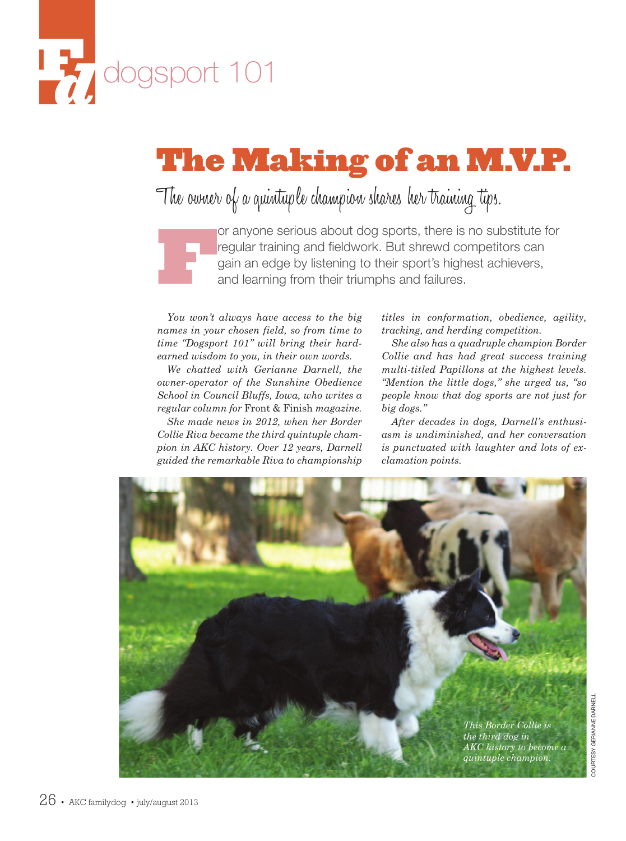

# **The Making of an M.V.P.**

The owner of a quintuple champion shares her training tips.

For anyone serious about dog sports, there is no substitute for<br>regular training and fieldwork. But shrewd competitors can<br>gain an edge by listening to their sport's highest achievers,<br>and learning from their triumphs and regular training and fieldwork. But shrewd competitors can gain an edge by listening to their sport's highest achievers, and learning from their triumphs and failures.

*You won't always have access to the big names in your chosen field, so from time to time "Dogsport 101" will bring their hardearned wisdom to you, in their own words.*

*We chatted with Gerianne Darnell, the owner-operator of the Sunshine Obedience School in Council Bluffs, Iowa, who writes a regular column for* Front & Finish *magazine. She made news in 2012, when her Border Collie Riva became the third quintuple cham-*

*pion in AKC history. Over 12 years, Darnell guided the remarkable Riva to championship* *titles in conformation, obedience, agility, tracking, and herding competition.*

*She also has a quadruple champion Border Collie and has had great success training multi-titled Papillons at the highest levels. "Mention the little dogs," she urged us, "so people know that dog sports are not just for big dogs."*

*After decades in dogs, Darnell's enthusiasm is undiminished, and her conversation is punctuated with laughter and lots of exclamation points.*